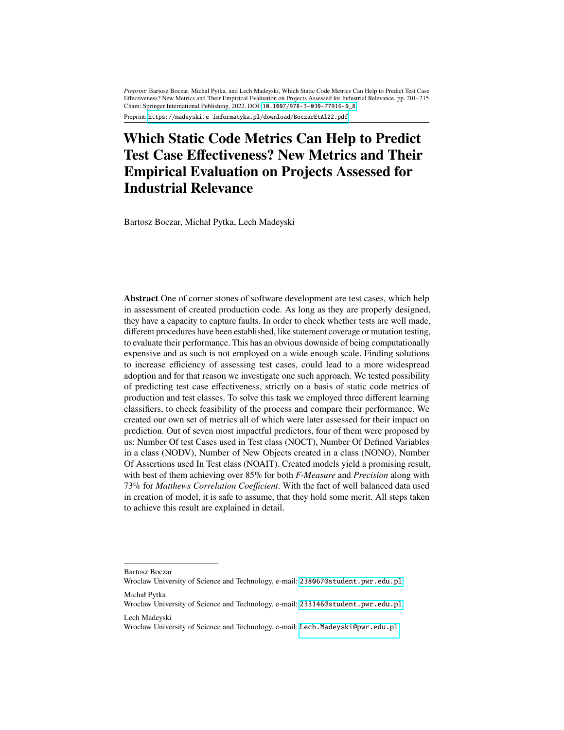*Preprint:* Bartosz Boczar, Michał Pytka, and Lech Madeyski, Which Static Code Metrics Can Help to Predict Test Case Effectiveness? New Metrics and Their Empirical Evaluation on Projects Assessed for Industrial Relevance, pp. 201–215. Cham: Springer International Publishing, 2022. DOI: [10.1007/978-3-030-77916-0\\_8](http://dx.doi.org/10.1007/978-3-030-77916-0_8)

Preprint: <https://madeyski.e-informatyka.pl/download/BoczarEtAl22.pdf>

# **Which Static Code Metrics Can Help to Predict Test Case Effectiveness? New Metrics and Their Empirical Evaluation on Projects Assessed for Industrial Relevance**

Bartosz Boczar, Michał Pytka, Lech Madeyski

**Abstract** One of corner stones of software development are test cases, which help in assessment of created production code. As long as they are properly designed, they have a capacity to capture faults. In order to check whether tests are well made, different procedures have been established, like statement coverage or mutation testing, to evaluate their performance. This has an obvious downside of being computationally expensive and as such is not employed on a wide enough scale. Finding solutions to increase efficiency of assessing test cases, could lead to a more widespread adoption and for that reason we investigate one such approach. We tested possibility of predicting test case effectiveness, strictly on a basis of static code metrics of production and test classes. To solve this task we employed three different learning classifiers, to check feasibility of the process and compare their performance. We created our own set of metrics all of which were later assessed for their impact on prediction. Out of seven most impactful predictors, four of them were proposed by us: Number Of test Cases used in Test class (NOCT), Number Of Defined Variables in a class (NODV), Number of New Objects created in a class (NONO), Number Of Assertions used In Test class (NOAIT). Created models yield a promising result, with best of them achieving over 85% for both *F-Measure* and *Precision* along with 73% for *Matthews Correlation Coefficient*. With the fact of well balanced data used in creation of model, it is safe to assume, that they hold some merit. All steps taken to achieve this result are explained in detail.

Bartosz Boczar

Wroclaw University of Science and Technology, e-mail: <238067@student.pwr.edu.pl> Michał Pytka

Wroclaw University of Science and Technology, e-mail: <233146@student.pwr.edu.pl> Lech Madeyski

Wroclaw University of Science and Technology, e-mail: <Lech.Madeyski@pwr.edu.pl>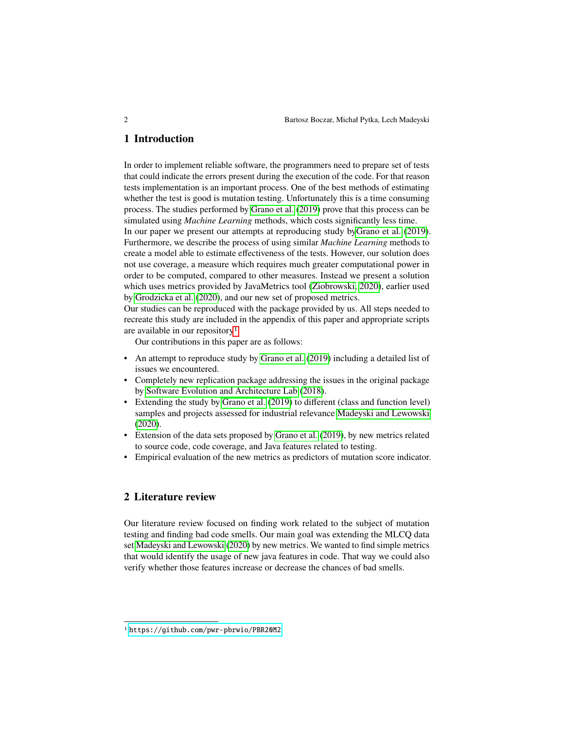## **1 Introduction**

In order to implement reliable software, the programmers need to prepare set of tests that could indicate the errors present during the execution of the code. For that reason tests implementation is an important process. One of the best methods of estimating whether the test is good is mutation testing. Unfortunately this is a time consuming process. The studies performed by [Grano et al.](#page-14-0) [\(2019\)](#page-14-0) prove that this process can be simulated using *Machine Learning* methods, which costs significantly less time.

In our paper we present our attempts at reproducing study b[yGrano et al.](#page-14-0) [\(2019\)](#page-14-0). Furthermore, we describe the process of using similar *Machine Learning* methods to create a model able to estimate effectiveness of the tests. However, our solution does not use coverage, a measure which requires much greater computational power in order to be computed, compared to other measures. Instead we present a solution which uses metrics provided by JavaMetrics tool [\(Ziobrowski, 2020\)](#page-14-1), earlier used by [Grodzicka et al.](#page-14-2) [\(2020\)](#page-14-2), and our new set of proposed metrics.

Our studies can be reproduced with the package provided by us. All steps needed to recreate this study are included in the appendix of this paper and appropriate scripts are available in our repository[1](#page-1-0).

Our contributions in this paper are as follows:

- An attempt to reproduce study by [Grano et al.](#page-14-0) [\(2019\)](#page-14-0) including a detailed list of issues we encountered.
- Completely new replication package addressing the issues in the original package by [Software Evolution and Architecture Lab](#page-14-3) [\(2018\)](#page-14-3).
- Extending the study by [Grano et al.](#page-14-0) [\(2019\)](#page-14-0) to different (class and function level) samples and projects assessed for industrial relevance [Madeyski and Lewowski](#page-14-4) [\(2020\)](#page-14-4).
- Extension of the data sets proposed by [Grano et al.](#page-14-0) [\(2019\)](#page-14-0), by new metrics related to source code, code coverage, and Java features related to testing.
- Empirical evaluation of the new metrics as predictors of mutation score indicator.

## **2 Literature review**

Our literature review focused on finding work related to the subject of mutation testing and finding bad code smells. Our main goal was extending the MLCQ data set [Madeyski and Lewowski](#page-14-4) [\(2020\)](#page-14-4) by new metrics. We wanted to find simple metrics that would identify the usage of new java features in code. That way we could also verify whether those features increase or decrease the chances of bad smells.

<span id="page-1-0"></span><sup>1</sup> <https://github.com/pwr-pbrwio/PBR20M2>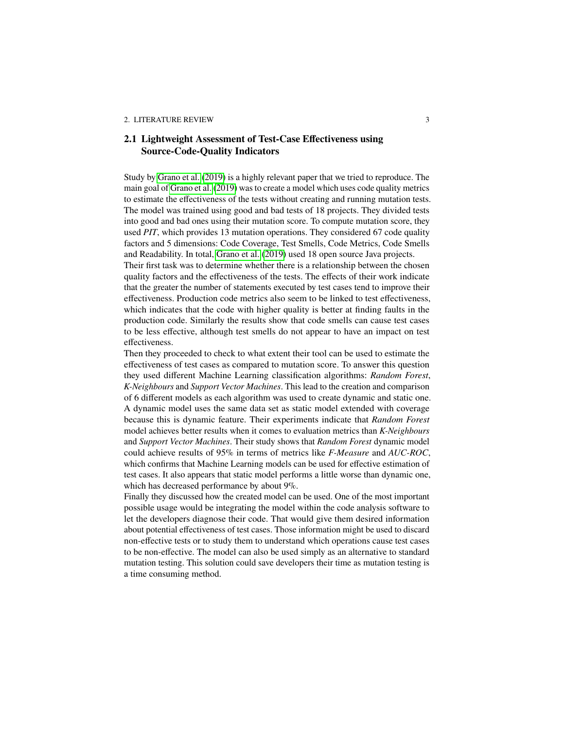## **2.1 Lightweight Assessment of Test-Case Effectiveness using Source-Code-Quality Indicators**

Study by [Grano et al.](#page-14-0) [\(2019\)](#page-14-0) is a highly relevant paper that we tried to reproduce. The main goal of [Grano et al.](#page-14-0) [\(2019\)](#page-14-0) was to create a model which uses code quality metrics to estimate the effectiveness of the tests without creating and running mutation tests. The model was trained using good and bad tests of 18 projects. They divided tests into good and bad ones using their mutation score. To compute mutation score, they used *PIT*, which provides 13 mutation operations. They considered 67 code quality factors and 5 dimensions: Code Coverage, Test Smells, Code Metrics, Code Smells and Readability. In total, [Grano et al.](#page-14-0) [\(2019\)](#page-14-0) used 18 open source Java projects.

Their first task was to determine whether there is a relationship between the chosen quality factors and the effectiveness of the tests. The effects of their work indicate that the greater the number of statements executed by test cases tend to improve their effectiveness. Production code metrics also seem to be linked to test effectiveness, which indicates that the code with higher quality is better at finding faults in the production code. Similarly the results show that code smells can cause test cases to be less effective, although test smells do not appear to have an impact on test effectiveness.

Then they proceeded to check to what extent their tool can be used to estimate the effectiveness of test cases as compared to mutation score. To answer this question they used different Machine Learning classification algorithms: *Random Forest*, *K-Neighbours* and *Support Vector Machines*. This lead to the creation and comparison of 6 different models as each algorithm was used to create dynamic and static one. A dynamic model uses the same data set as static model extended with coverage because this is dynamic feature. Their experiments indicate that *Random Forest* model achieves better results when it comes to evaluation metrics than *K-Neighbours* and *Support Vector Machines*. Their study shows that *Random Forest* dynamic model could achieve results of 95% in terms of metrics like *F-Measure* and *AUC-ROC*, which confirms that Machine Learning models can be used for effective estimation of test cases. It also appears that static model performs a little worse than dynamic one, which has decreased performance by about 9%.

Finally they discussed how the created model can be used. One of the most important possible usage would be integrating the model within the code analysis software to let the developers diagnose their code. That would give them desired information about potential effectiveness of test cases. Those information might be used to discard non-effective tests or to study them to understand which operations cause test cases to be non-effective. The model can also be used simply as an alternative to standard mutation testing. This solution could save developers their time as mutation testing is a time consuming method.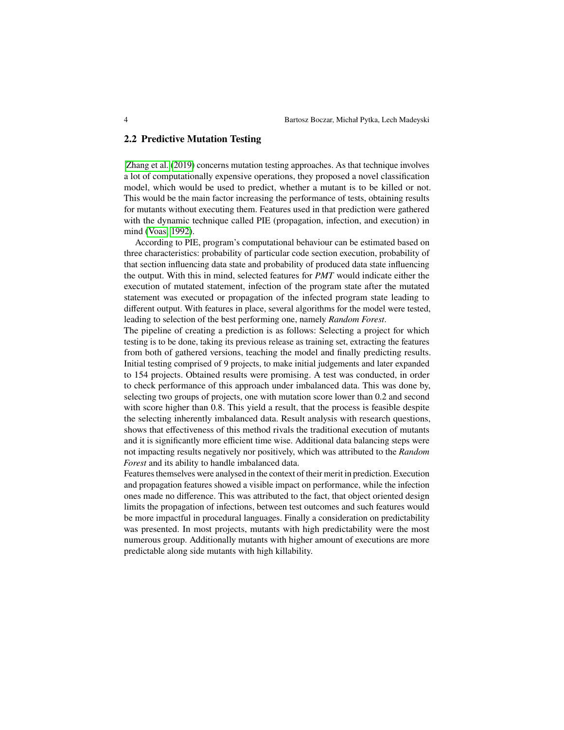### **2.2 Predictive Mutation Testing**

[Zhang et al.](#page-14-5) [\(2019\)](#page-14-5) concerns mutation testing approaches. As that technique involves a lot of computationally expensive operations, they proposed a novel classification model, which would be used to predict, whether a mutant is to be killed or not. This would be the main factor increasing the performance of tests, obtaining results for mutants without executing them. Features used in that prediction were gathered with the dynamic technique called PIE (propagation, infection, and execution) in mind [\(Voas, 1992\)](#page-14-6).

According to PIE, program's computational behaviour can be estimated based on three characteristics: probability of particular code section execution, probability of that section influencing data state and probability of produced data state influencing the output. With this in mind, selected features for *PMT* would indicate either the execution of mutated statement, infection of the program state after the mutated statement was executed or propagation of the infected program state leading to different output. With features in place, several algorithms for the model were tested, leading to selection of the best performing one, namely *Random Forest*.

The pipeline of creating a prediction is as follows: Selecting a project for which testing is to be done, taking its previous release as training set, extracting the features from both of gathered versions, teaching the model and finally predicting results. Initial testing comprised of 9 projects, to make initial judgements and later expanded to 154 projects. Obtained results were promising. A test was conducted, in order to check performance of this approach under imbalanced data. This was done by, selecting two groups of projects, one with mutation score lower than 0.2 and second with score higher than 0.8. This yield a result, that the process is feasible despite the selecting inherently imbalanced data. Result analysis with research questions, shows that effectiveness of this method rivals the traditional execution of mutants and it is significantly more efficient time wise. Additional data balancing steps were not impacting results negatively nor positively, which was attributed to the *Random Forest* and its ability to handle imbalanced data.

Features themselves were analysed in the context of their merit in prediction. Execution and propagation features showed a visible impact on performance, while the infection ones made no difference. This was attributed to the fact, that object oriented design limits the propagation of infections, between test outcomes and such features would be more impactful in procedural languages. Finally a consideration on predictability was presented. In most projects, mutants with high predictability were the most numerous group. Additionally mutants with higher amount of executions are more predictable along side mutants with high killability.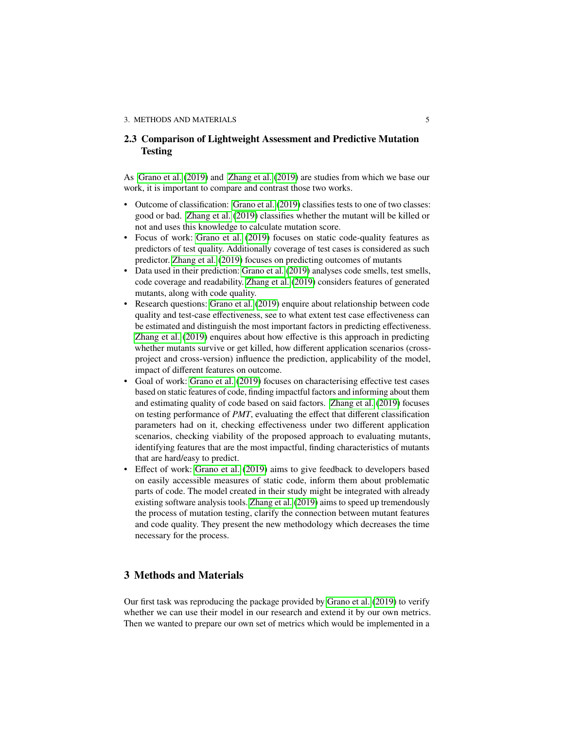## **2.3 Comparison of Lightweight Assessment and Predictive Mutation Testing**

As [Grano et al.](#page-14-0) [\(2019\)](#page-14-0) and [Zhang et al.](#page-14-5) [\(2019\)](#page-14-5) are studies from which we base our work, it is important to compare and contrast those two works.

- Outcome of classification: [Grano et al.](#page-14-0) [\(2019\)](#page-14-0) classifies tests to one of two classes: good or bad. [Zhang et al.](#page-14-5) [\(2019\)](#page-14-5) classifies whether the mutant will be killed or not and uses this knowledge to calculate mutation score.
- Focus of work: [Grano et al.](#page-14-0) [\(2019\)](#page-14-0) focuses on static code-quality features as predictors of test quality. Additionally coverage of test cases is considered as such predictor. [Zhang et al.](#page-14-5) [\(2019\)](#page-14-5) focuses on predicting outcomes of mutants
- Data used in their prediction: [Grano et al.](#page-14-0) [\(2019\)](#page-14-0) analyses code smells, test smells, code coverage and readability. [Zhang et al.](#page-14-5) [\(2019\)](#page-14-5) considers features of generated mutants, along with code quality.
- Research questions: [Grano et al.](#page-14-0) [\(2019\)](#page-14-0) enquire about relationship between code quality and test-case effectiveness, see to what extent test case effectiveness can be estimated and distinguish the most important factors in predicting effectiveness. [Zhang et al.](#page-14-5) [\(2019\)](#page-14-5) enquires about how effective is this approach in predicting whether mutants survive or get killed, how different application scenarios (crossproject and cross-version) influence the prediction, applicability of the model, impact of different features on outcome.
- Goal of work: [Grano et al.](#page-14-0) [\(2019\)](#page-14-0) focuses on characterising effective test cases based on static features of code, finding impactful factors and informing about them and estimating quality of code based on said factors. [Zhang et al.](#page-14-5) [\(2019\)](#page-14-5) focuses on testing performance of *PMT*, evaluating the effect that different classification parameters had on it, checking effectiveness under two different application scenarios, checking viability of the proposed approach to evaluating mutants, identifying features that are the most impactful, finding characteristics of mutants that are hard/easy to predict.
- Effect of work: [Grano et al.](#page-14-0) [\(2019\)](#page-14-0) aims to give feedback to developers based on easily accessible measures of static code, inform them about problematic parts of code. The model created in their study might be integrated with already existing software analysis tools. [Zhang et al.](#page-14-5) [\(2019\)](#page-14-5) aims to speed up tremendously the process of mutation testing, clarify the connection between mutant features and code quality. They present the new methodology which decreases the time necessary for the process.

## **3 Methods and Materials**

Our first task was reproducing the package provided by [Grano et al.](#page-14-0) [\(2019\)](#page-14-0) to verify whether we can use their model in our research and extend it by our own metrics. Then we wanted to prepare our own set of metrics which would be implemented in a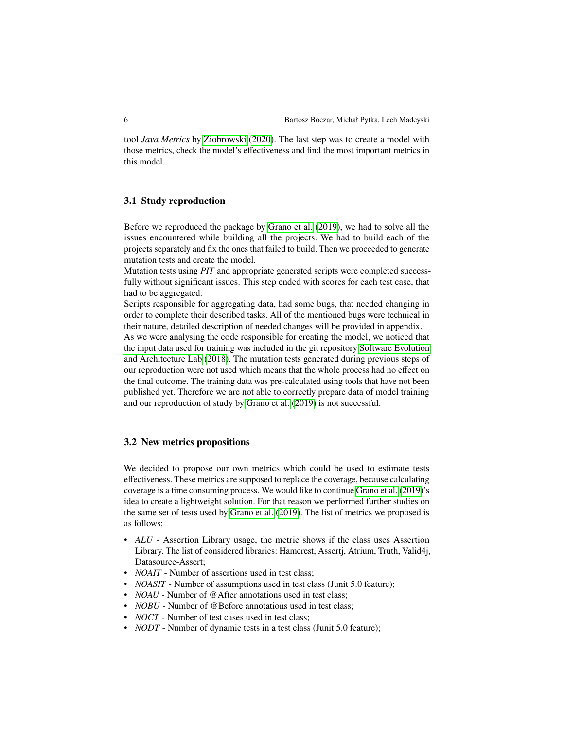tool *Java Metrics* by [Ziobrowski](#page-14-1) [\(2020\)](#page-14-1). The last step was to create a model with those metrics, check the model's effectiveness and find the most important metrics in this model.

#### **3.1 Study reproduction**

Before we reproduced the package by [Grano et al.](#page-14-0) [\(2019\)](#page-14-0), we had to solve all the issues encountered while building all the projects. We had to build each of the projects separately and fix the ones that failed to build. Then we proceeded to generate mutation tests and create the model.

Mutation tests using *PIT* and appropriate generated scripts were completed successfully without significant issues. This step ended with scores for each test case, that had to be aggregated.

Scripts responsible for aggregating data, had some bugs, that needed changing in order to complete their described tasks. All of the mentioned bugs were technical in their nature, detailed description of needed changes will be provided in appendix.

As we were analysing the code responsible for creating the model, we noticed that the input data used for training was included in the git repository [Software Evolution](#page-14-3) [and Architecture Lab](#page-14-3) [\(2018\)](#page-14-3). The mutation tests generated during previous steps of our reproduction were not used which means that the whole process had no effect on the final outcome. The training data was pre-calculated using tools that have not been published yet. Therefore we are not able to correctly prepare data of model training and our reproduction of study by [Grano et al.](#page-14-0) [\(2019\)](#page-14-0) is not successful.

#### **3.2 New metrics propositions**

We decided to propose our own metrics which could be used to estimate tests effectiveness. These metrics are supposed to replace the coverage, because calculating coverage is a time consuming process. We would like to continue [Grano et al.](#page-14-0) [\(2019\)](#page-14-0)'s idea to create a lightweight solution. For that reason we performed further studies on the same set of tests used by [Grano et al.](#page-14-0) [\(2019\)](#page-14-0). The list of metrics we proposed is as follows:

- *ALU* Assertion Library usage, the metric shows if the class uses Assertion Library. The list of considered libraries: Hamcrest, Assertj, Atrium, Truth, Valid4j, Datasource-Assert;
- *NOAIT* Number of assertions used in test class;
- *NOASIT* Number of assumptions used in test class (Junit 5.0 feature);
- *NOAU* Number of @After annotations used in test class:
- *NOBU* Number of @Before annotations used in test class:
- *NOCT* Number of test cases used in test class;
- *NODT* Number of dynamic tests in a test class (Junit 5.0 feature);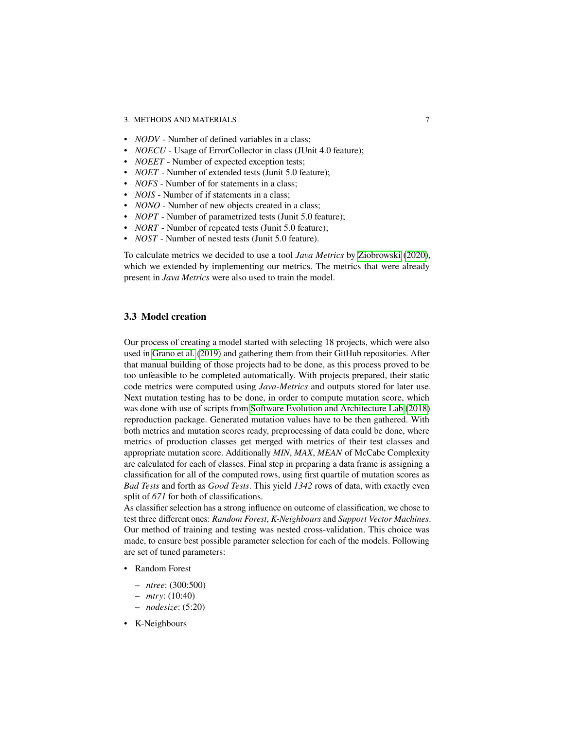#### 3. METHODS AND MATERIALS 7

- *NODV* Number of defined variables in a class:
- *NOECU* Usage of ErrorCollector in class (JUnit 4.0 feature);
- *NOEET* Number of expected exception tests;
- *NOET* Number of extended tests (Junit 5.0 feature);
- *NOFS* Number of for statements in a class;
- *NOIS* Number of if statements in a class:
- *NONO* Number of new objects created in a class;
- *NOPT* Number of parametrized tests (Junit 5.0 feature);
- *NORT* Number of repeated tests (Junit 5.0 feature);
- *NOST* Number of nested tests (Junit 5.0 feature).

To calculate metrics we decided to use a tool *Java Metrics* by [Ziobrowski](#page-14-1) [\(2020\)](#page-14-1), which we extended by implementing our metrics. The metrics that were already present in *Java Metrics* were also used to train the model.

## **3.3 Model creation**

Our process of creating a model started with selecting 18 projects, which were also used in [Grano et al.](#page-14-0) [\(2019\)](#page-14-0) and gathering them from their GitHub repositories. After that manual building of those projects had to be done, as this process proved to be too unfeasible to be completed automatically. With projects prepared, their static code metrics were computed using *Java-Metrics* and outputs stored for later use. Next mutation testing has to be done, in order to compute mutation score, which was done with use of scripts from [Software Evolution and Architecture Lab](#page-14-3) [\(2018\)](#page-14-3) reproduction package. Generated mutation values have to be then gathered. With both metrics and mutation scores ready, preprocessing of data could be done, where metrics of production classes get merged with metrics of their test classes and appropriate mutation score. Additionally *MIN*, *MAX*, *MEAN* of McCabe Complexity are calculated for each of classes. Final step in preparing a data frame is assigning a classification for all of the computed rows, using first quartile of mutation scores as *Bad Tests* and forth as *Good Tests*. This yield *1342* rows of data, with exactly even split of *671* for both of classifications.

As classifier selection has a strong influence on outcome of classification, we chose to test three different ones: *Random Forest*, *K-Neighbours* and *Support Vector Machines*. Our method of training and testing was nested cross-validation. This choice was made, to ensure best possible parameter selection for each of the models. Following are set of tuned parameters:

- Random Forest
	- *ntree*: (300:500)
	- *mtry*: (10:40)
	- *nodesize*: (5:20)
- K-Neighbours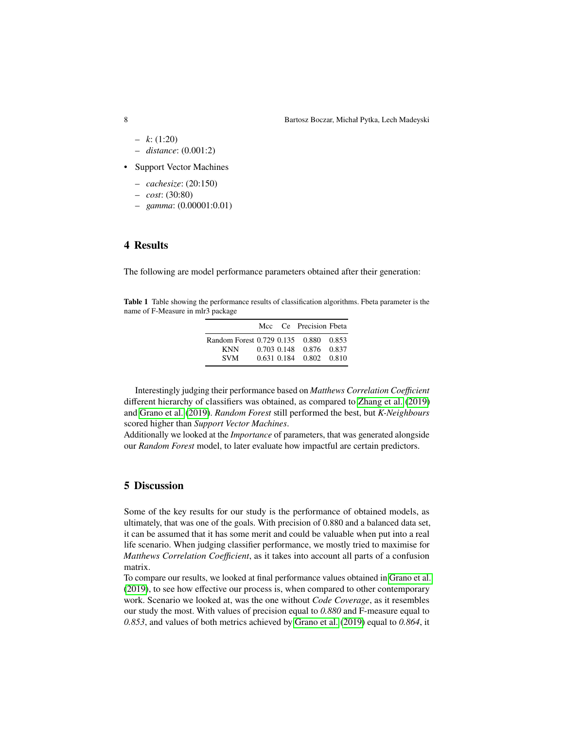- *k*: (1:20)
- *distance*: (0.001:2)
- Support Vector Machines
	- *cachesize*: (20:150)
	- *cost*: (30:80)
	- *gamma*: (0.00001:0.01)

## **4 Results**

The following are model performance parameters obtained after their generation:

**Table 1** Table showing the performance results of classification algorithms. Fbeta parameter is the name of F-Measure in mlr3 package

|                                       |  | Mcc Ce Precision Fbeta  |  |
|---------------------------------------|--|-------------------------|--|
| Random Forest 0.729 0.135 0.880 0.853 |  |                         |  |
| <b>KNN</b>                            |  | 0.703 0.148 0.876 0.837 |  |
| <b>SVM</b>                            |  | 0.631 0.184 0.802 0.810 |  |

Interestingly judging their performance based on *Matthews Correlation Coefficient* different hierarchy of classifiers was obtained, as compared to [Zhang et al.](#page-14-5) [\(2019\)](#page-14-5) and [Grano et al.](#page-14-0) [\(2019\)](#page-14-0). *Random Forest* still performed the best, but *K-Neighbours* scored higher than *Support Vector Machines*.

Additionally we looked at the *Importance* of parameters, that was generated alongside our *Random Forest* model, to later evaluate how impactful are certain predictors.

## **5 Discussion**

Some of the key results for our study is the performance of obtained models, as ultimately, that was one of the goals. With precision of 0.880 and a balanced data set, it can be assumed that it has some merit and could be valuable when put into a real life scenario. When judging classifier performance, we mostly tried to maximise for *Matthews Correlation Coefficient*, as it takes into account all parts of a confusion matrix.

To compare our results, we looked at final performance values obtained in [Grano et al.](#page-14-0) [\(2019\)](#page-14-0), to see how effective our process is, when compared to other contemporary work. Scenario we looked at, was the one without *Code Coverage*, as it resembles our study the most. With values of precision equal to *0.880* and F-measure equal to *0.853*, and values of both metrics achieved by [Grano et al.](#page-14-0) [\(2019\)](#page-14-0) equal to *0.864*, it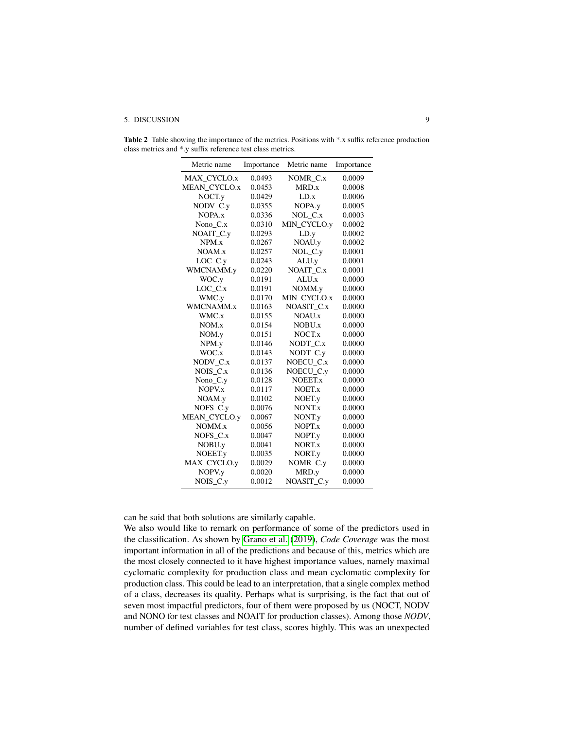#### 5. DISCUSSION 9

Table 2 Table showing the importance of the metrics. Positions with \*.x suffix reference production class metrics and \*.y suffix reference test class metrics.

| Metric name  | Importance | Metric name | Importance |
|--------------|------------|-------------|------------|
| MAX CYCLO.x  | 0.0493     | NOMR C.x    | 0.0009     |
| MEAN CYCLO.x | 0.0453     | MRD.x       | 0.0008     |
| NOCT.y       | 0.0429     | LD.x        | 0.0006     |
| NODV C.y     | 0.0355     | NOPA.y      | 0.0005     |
| NOPA.x       | 0.0336     | NOL_C.x     | 0.0003     |
| Nono C.x     | 0.0310     | MIN_CYCLO.y | 0.0002     |
| NOAIT_C.y    | 0.0293     | LD.y        | 0.0002     |
| NPM.x        | 0.0267     | NOAU.y      | 0.0002     |
| NOAM.x       | 0.0257     | NOL_C.y     | 0.0001     |
| $LOC_C_y$    | 0.0243     | ALU.y       | 0.0001     |
| WMCNAMM.y    | 0.0220     | NOAIT C.x   | 0.0001     |
| WOC.y        | 0.0191     | ALU.x       | 0.0000     |
| $LOC_C.x$    | 0.0191     | NOMM.y      | 0.0000     |
| WMC.y        | 0.0170     | MIN_CYCLO.x | 0.0000     |
| WMCNAMM.x    | 0.0163     | NOASIT C.x  | 0.0000     |
| WMC.x        | 0.0155     | NOAU.x      | 0.0000     |
| NOM.x        | 0.0154     | NOBU.x      | 0.0000     |
| NOM.y        | 0.0151     | NOCT.x      | 0.0000     |
| NPM.y        | 0.0146     | NODT C.x    | 0.0000     |
| WOC.x        | 0.0143     | NODT_C.y    | 0.0000     |
| NODV C.x     | 0.0137     | NOECU_C.x   | 0.0000     |
| NOIS C.x     | 0.0136     | NOECU C.y   | 0.0000     |
| Nono_C.y     | 0.0128     | NOEET.x     | 0.0000     |
| NOPV.x       | 0.0117     | NOET.x      | 0.0000     |
| NOAM.y       | 0.0102     | NOET.y      | 0.0000     |
| NOFS_C.y     | 0.0076     | NONT.x      | 0.0000     |
| MEAN_CYCLO.y | 0.0067     | NONT.y      | 0.0000     |
| NOMM.x       | 0.0056     | NOPT.x      | 0.0000     |
| NOFS C.x     | 0.0047     | NOPT.y      | 0.0000     |
| NOBU.y       | 0.0041     | NORT.x      | 0.0000     |
| NOEET.y      | 0.0035     | NORT.y      | 0.0000     |
| MAX_CYCLO.y  | 0.0029     | NOMR_C.y    | 0.0000     |
| NOPV.y       | 0.0020     | MRD.y       | 0.0000     |
| NOIS C.y     | 0.0012     | NOASIT C.y  | 0.0000     |

can be said that both solutions are similarly capable.

We also would like to remark on performance of some of the predictors used in the classification. As shown by [Grano et al.](#page-14-0) [\(2019\)](#page-14-0), *Code Coverage* was the most important information in all of the predictions and because of this, metrics which are the most closely connected to it have highest importance values, namely maximal cyclomatic complexity for production class and mean cyclomatic complexity for production class. This could be lead to an interpretation, that a single complex method of a class, decreases its quality. Perhaps what is surprising, is the fact that out of seven most impactful predictors, four of them were proposed by us (NOCT, NODV and NONO for test classes and NOAIT for production classes). Among those *NODV*, number of defined variables for test class, scores highly. This was an unexpected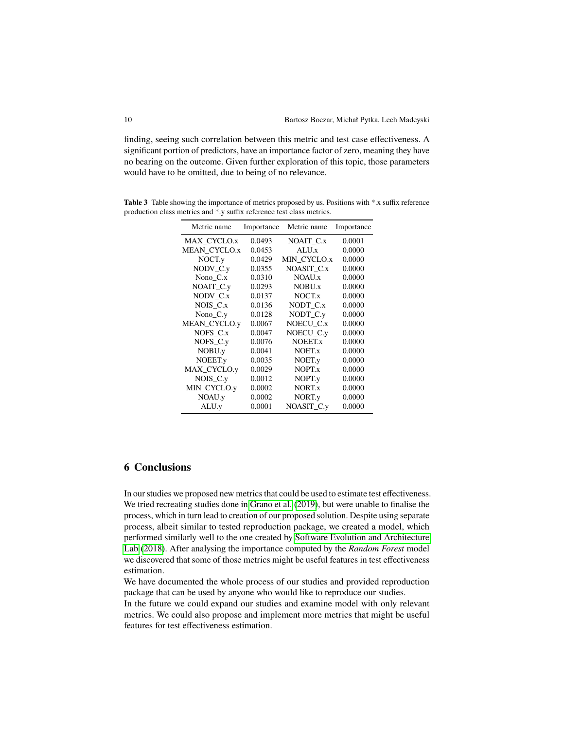finding, seeing such correlation between this metric and test case effectiveness. A significant portion of predictors, have an importance factor of zero, meaning they have no bearing on the outcome. Given further exploration of this topic, those parameters would have to be omitted, due to being of no relevance.

**Table 3** Table showing the importance of metrics proposed by us. Positions with \*.x suffix reference production class metrics and \*.y suffix reference test class metrics.

| Metric name  | Importance | Metric name        | Importance |
|--------------|------------|--------------------|------------|
| MAX CYCLO.x  | 0.0493     | NOAIT_C.x          | 0.0001     |
| MEAN CYCLO.x | 0.0453     | ALU <sub>x</sub>   | 0.0000     |
| NOCT.y       | 0.0429     | MIN CYCLO.x        | 0.0000     |
| $NODV_C$ .y  | 0.0355     | NOASIT C.x         | 0.0000     |
| Nono $C.x$   | 0.0310     | NOAU.x             | 0.0000     |
| NOAIT_C.y    | 0.0293     | NOBU.x             | 0.0000     |
| NODV C.x     | 0.0137     | NOCT. <sub>x</sub> | 0.0000     |
| NOIS C.x     | 0.0136     | NODT_C.x           | 0.0000     |
| Nono $_C$ .y | 0.0128     | NODT_C.y           | 0.0000     |
| MEAN_CYCLO.y | 0.0067     | NOECU C.x          | 0.0000     |
| $NOFS_C.x$   | 0.0047     | NOECU C.y          | 0.0000     |
| $NOFS_C_v$   | 0.0076     | NOEET.x            | 0.0000     |
| NOBU.y       | 0.0041     | NOET.x             | 0.0000     |
| NOEET.y      | 0.0035     | NOET.y             | 0.0000     |
| MAX CYCLO.y  | 0.0029     | NOPT.x             | 0.0000     |
| $NOIS_C_y$   | 0.0012     | NOPT.y             | 0.0000     |
| MIN_CYCLO.y  | 0.0002     | NORT.x             | 0.0000     |
| NOAU.y       | 0.0002     | NORT.y             | 0.0000     |
| ALU.y        | 0.0001     | NOASIT C.y         | 0.0000     |

## **6 Conclusions**

In our studies we proposed new metrics that could be used to estimate test effectiveness. We tried recreating studies done in [Grano et al.](#page-14-0) [\(2019\)](#page-14-0), but were unable to finalise the process, which in turn lead to creation of our proposed solution. Despite using separate process, albeit similar to tested reproduction package, we created a model, which performed similarly well to the one created by [Software Evolution and Architecture](#page-14-3) [Lab](#page-14-3) [\(2018\)](#page-14-3). After analysing the importance computed by the *Random Forest* model we discovered that some of those metrics might be useful features in test effectiveness estimation.

We have documented the whole process of our studies and provided reproduction package that can be used by anyone who would like to reproduce our studies.

In the future we could expand our studies and examine model with only relevant metrics. We could also propose and implement more metrics that might be useful features for test effectiveness estimation.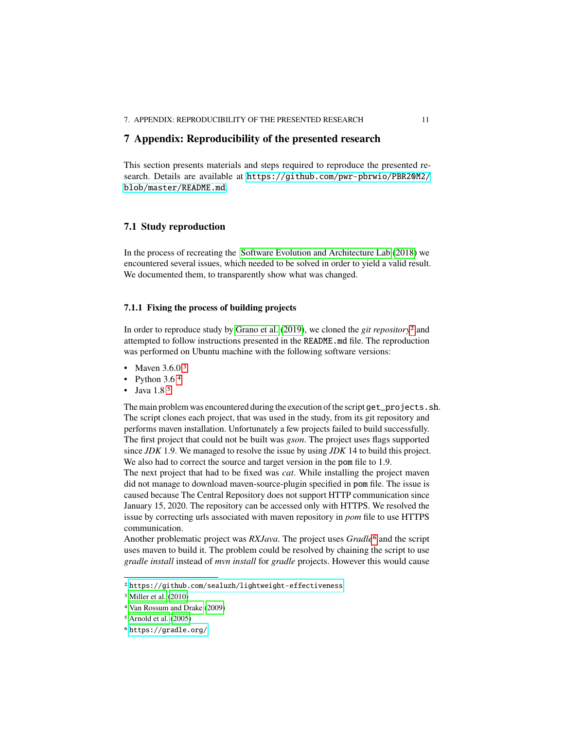## **7 Appendix: Reproducibility of the presented research**

This section presents materials and steps required to reproduce the presented research. Details are available at [https://github.com/pwr-pbrwio/PBR20M2/](https://github.com/pwr-pbrwio/PBR20M2/blob/master/README.md) [blob/master/README.md](https://github.com/pwr-pbrwio/PBR20M2/blob/master/README.md).

## **7.1 Study reproduction**

In the process of recreating the [Software Evolution and Architecture Lab](#page-14-3) [\(2018\)](#page-14-3) we encountered several issues, which needed to be solved in order to yield a valid result. We documented them, to transparently show what was changed.

### **7.1.1 Fixing the process of building projects**

In order to reproduce study by [Grano et al.](#page-14-0) [\(2019\)](#page-14-0), we cloned the *git repository*[2](#page-10-0) and attempted to follow instructions presented in the README.md file. The reproduction was performed on Ubuntu machine with the following software versions:

- Maven  $3.6.0<sup>3</sup>$  $3.6.0<sup>3</sup>$
- Python  $3.6<sup>4</sup>$  $3.6<sup>4</sup>$  $3.6<sup>4</sup>$
- Java 1.8<sup>[5](#page-10-3)</sup>

The main problem was encountered during the execution of the script get\_projects.sh. The script clones each project, that was used in the study, from its git repository and performs maven installation. Unfortunately a few projects failed to build successfully. The first project that could not be built was *gson*. The project uses flags supported since *JDK* 1.9. We managed to resolve the issue by using *JDK* 14 to build this project. We also had to correct the source and target version in the pom file to 1.9.

The next project that had to be fixed was *cat*. While installing the project maven did not manage to download maven-source-plugin specified in pom file. The issue is caused because The Central Repository does not support HTTP communication since January 15, 2020. The repository can be accessed only with HTTPS. We resolved the issue by correcting urls associated with maven repository in *pom* file to use HTTPS communication.

Another problematic project was *RXJava*. The project uses *Gradle*[6](#page-10-4) and the script uses maven to build it. The problem could be resolved by chaining the script to use *gradle install* instead of *mvn install* for *gradle* projects. However this would cause

<span id="page-10-0"></span><sup>2</sup> <https://github.com/sealuzh/lightweight-effectiveness>

<span id="page-10-1"></span><sup>3</sup> [Miller et al.](#page-14-7) [\(2010\)](#page-14-7)

<span id="page-10-2"></span><sup>4</sup> [Van Rossum and Drake](#page-14-8) [\(2009\)](#page-14-8)

<span id="page-10-3"></span><sup>5</sup> [Arnold et al.](#page-14-9) [\(2005\)](#page-14-9)

<span id="page-10-4"></span><sup>6</sup> <https://gradle.org/>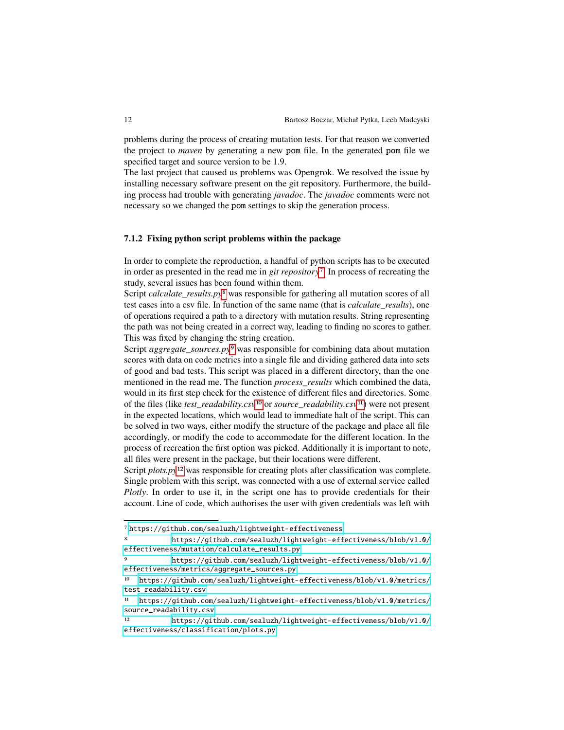problems during the process of creating mutation tests. For that reason we converted the project to *maven* by generating a new pom file. In the generated pom file we specified target and source version to be 1.9.

The last project that caused us problems was Opengrok. We resolved the issue by installing necessary software present on the git repository. Furthermore, the building process had trouble with generating *javadoc*. The *javadoc* comments were not necessary so we changed the pom settings to skip the generation process.

### **7.1.2 Fixing python script problems within the package**

In order to complete the reproduction, a handful of python scripts has to be executed in order as presented in the read me in *git repository*[7](#page-11-0). In process of recreating the study, several issues has been found within them.

Script *calculate\_results.py*[8](#page-11-1) was responsible for gathering all mutation scores of all test cases into a csv file. In function of the same name (that is *calculate\_results*), one of operations required a path to a directory with mutation results. String representing the path was not being created in a correct way, leading to finding no scores to gather. This was fixed by changing the string creation.

Script *aggregate\_sources.py*[9](#page-11-2) was responsible for combining data about mutation scores with data on code metrics into a single file and dividing gathered data into sets of good and bad tests. This script was placed in a different directory, than the one mentioned in the read me. The function *process results* which combined the data, would in its first step check for the existence of different files and directories. Some of the files (like *test\_readability.csv*[10](#page-11-3) or *source\_readability.csv*[11](#page-11-4)) were not present in the expected locations, which would lead to immediate halt of the script. This can be solved in two ways, either modify the structure of the package and place all file accordingly, or modify the code to accommodate for the different location. In the process of recreation the first option was picked. Additionally it is important to note, all files were present in the package, but their locations were different.

Script *plots.py*<sup>[12](#page-11-5)</sup> was responsible for creating plots after classification was complete. Single problem with this script, was connected with a use of external service called *Plotly*. In order to use it, in the script one has to provide credentials for their account. Line of code, which authorises the user with given credentials was left with

<span id="page-11-0"></span><sup>7</sup> <https://github.com/sealuzh/lightweight-effectiveness>

<span id="page-11-1"></span><sup>8</sup> [https://github.com/sealuzh/lightweight-effectiveness/blob/v1.0/](https://github.com/sealuzh/lightweight-effectiveness/blob/v1.0/effectiveness/mutation/calculate_results.py) [effectiveness/mutation/calculate\\_results.py](https://github.com/sealuzh/lightweight-effectiveness/blob/v1.0/effectiveness/mutation/calculate_results.py)

<span id="page-11-2"></span><sup>9</sup> [https://github.com/sealuzh/lightweight-effectiveness/blob/v1.0/](https://github.com/sealuzh/lightweight-effectiveness/blob/v1.0/effectiveness/metrics/aggregate_sources.py) [effectiveness/metrics/aggregate\\_sources.py](https://github.com/sealuzh/lightweight-effectiveness/blob/v1.0/effectiveness/metrics/aggregate_sources.py)

<span id="page-11-3"></span><sup>10</sup> [https://github.com/sealuzh/lightweight-effectiveness/blob/v1.0/metrics/](https://github.com/sealuzh/lightweight-effectiveness/blob/v1.0/metrics/test_readability.csv) [test\\_readability.csv](https://github.com/sealuzh/lightweight-effectiveness/blob/v1.0/metrics/test_readability.csv)

<span id="page-11-4"></span><sup>11</sup> [https://github.com/sealuzh/lightweight-effectiveness/blob/v1.0/metrics/](https://github.com/sealuzh/lightweight-effectiveness/blob/v1.0/metrics/source_readability.csv) [source\\_readability.csv](https://github.com/sealuzh/lightweight-effectiveness/blob/v1.0/metrics/source_readability.csv)

<span id="page-11-5"></span><sup>12</sup> [https://github.com/sealuzh/lightweight-effectiveness/blob/v1.0/](https://github.com/sealuzh/lightweight-effectiveness/blob/v1.0/effectiveness/classification/plots.py) [effectiveness/classification/plots.py](https://github.com/sealuzh/lightweight-effectiveness/blob/v1.0/effectiveness/classification/plots.py)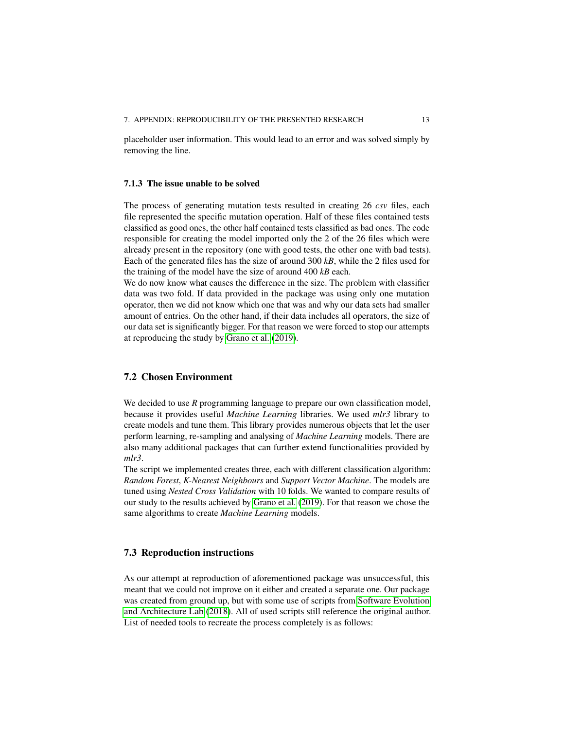placeholder user information. This would lead to an error and was solved simply by removing the line.

#### **7.1.3 The issue unable to be solved**

The process of generating mutation tests resulted in creating 26 *csv* files, each file represented the specific mutation operation. Half of these files contained tests classified as good ones, the other half contained tests classified as bad ones. The code responsible for creating the model imported only the 2 of the 26 files which were already present in the repository (one with good tests, the other one with bad tests). Each of the generated files has the size of around 300 *kB*, while the 2 files used for the training of the model have the size of around 400 *kB* each.

We do now know what causes the difference in the size. The problem with classifier data was two fold. If data provided in the package was using only one mutation operator, then we did not know which one that was and why our data sets had smaller amount of entries. On the other hand, if their data includes all operators, the size of our data set is significantly bigger. For that reason we were forced to stop our attempts at reproducing the study by [Grano et al.](#page-14-0) [\(2019\)](#page-14-0).

#### **7.2 Chosen Environment**

We decided to use *R* programming language to prepare our own classification model, because it provides useful *Machine Learning* libraries. We used *mlr3* library to create models and tune them. This library provides numerous objects that let the user perform learning, re-sampling and analysing of *Machine Learning* models. There are also many additional packages that can further extend functionalities provided by *mlr3*.

The script we implemented creates three, each with different classification algorithm: *Random Forest*, *K-Nearest Neighbours* and *Support Vector Machine*. The models are tuned using *Nested Cross Validation* with 10 folds. We wanted to compare results of our study to the results achieved by [Grano et al.](#page-14-0) [\(2019\)](#page-14-0). For that reason we chose the same algorithms to create *Machine Learning* models.

## **7.3 Reproduction instructions**

As our attempt at reproduction of aforementioned package was unsuccessful, this meant that we could not improve on it either and created a separate one. Our package was created from ground up, but with some use of scripts from [Software Evolution](#page-14-3) [and Architecture Lab](#page-14-3) [\(2018\)](#page-14-3). All of used scripts still reference the original author. List of needed tools to recreate the process completely is as follows: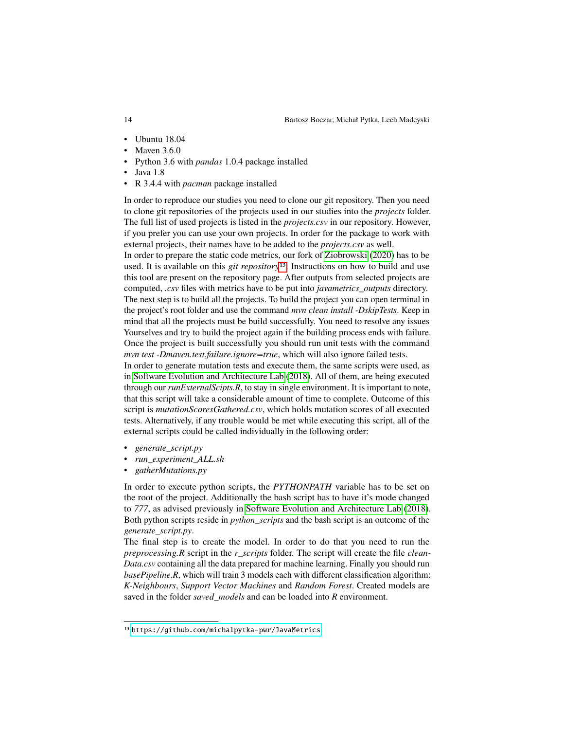- Ubuntu 18.04
- Mayen 3.6.0
- Python 3.6 with *pandas* 1.0.4 package installed
- $\bullet$  Java 1.8
- R 3.4.4 with *pacman* package installed

In order to reproduce our studies you need to clone our git repository. Then you need to clone git repositories of the projects used in our studies into the *projects* folder. The full list of used projects is listed in the *projects.csv* in our repository. However, if you prefer you can use your own projects. In order for the package to work with external projects, their names have to be added to the *projects.csv* as well.

In order to prepare the static code metrics, our fork of [Ziobrowski](#page-14-1) [\(2020\)](#page-14-1) has to be used. It is available on this *git repository*[13](#page-13-0). Instructions on how to build and use this tool are present on the repository page. After outputs from selected projects are computed, *.csv* files with metrics have to be put into *javametrics\_outputs* directory. The next step is to build all the projects. To build the project you can open terminal in the project's root folder and use the command *mvn clean install -DskipTests*. Keep in mind that all the projects must be build successfully. You need to resolve any issues Yourselves and try to build the project again if the building process ends with failure. Once the project is built successfully you should run unit tests with the command *mvn test -Dmaven.test.failure.ignore=true*, which will also ignore failed tests.

In order to generate mutation tests and execute them, the same scripts were used, as in [Software Evolution and Architecture Lab](#page-14-3) [\(2018\)](#page-14-3). All of them, are being executed through our *runExternalScipts.R*, to stay in single environment. It is important to note, that this script will take a considerable amount of time to complete. Outcome of this script is *mutationScoresGathered.csv*, which holds mutation scores of all executed tests. Alternatively, if any trouble would be met while executing this script, all of the external scripts could be called individually in the following order:

- *generate\_script.py*
- *run\_experiment\_ALL.sh*
- *gatherMutations.py*

In order to execute python scripts, the *PYTHONPATH* variable has to be set on the root of the project. Additionally the bash script has to have it's mode changed to *777*, as advised previously in [Software Evolution and Architecture Lab](#page-14-3) [\(2018\)](#page-14-3). Both python scripts reside in *python\_scripts* and the bash script is an outcome of the *generate\_script.py*.

The final step is to create the model. In order to do that you need to run the *preprocessing.R* script in the *r\_scripts* folder. The script will create the file *clean-Data.csv* containing all the data prepared for machine learning. Finally you should run *basePipeline.R*, which will train 3 models each with different classification algorithm: *K-Neighbours*, *Support Vector Machines* and *Random Forest*. Created models are saved in the folder *saved\_models* and can be loaded into *R* environment.

<span id="page-13-0"></span><sup>13</sup> <https://github.com/michalpytka-pwr/JavaMetrics>